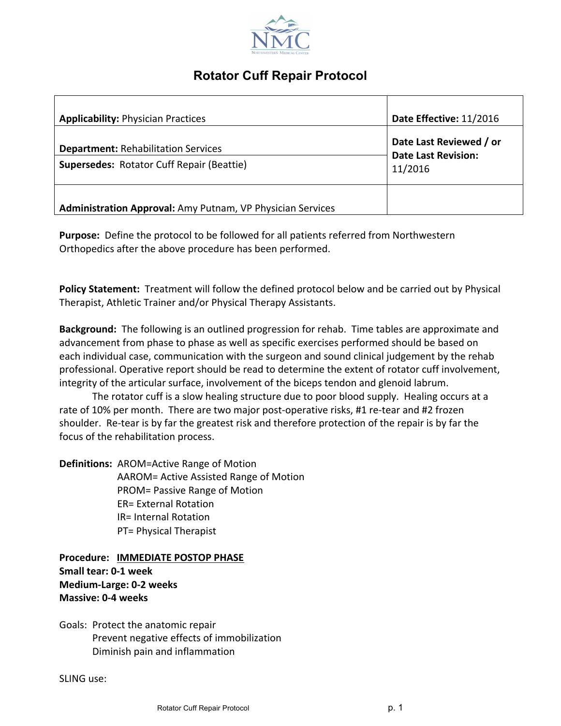

# **Rotator Cuff Repair Protocol**

| <b>Applicability: Physician Practices</b>                                                      | Date Effective: 11/2016                                          |
|------------------------------------------------------------------------------------------------|------------------------------------------------------------------|
| <b>Department: Rehabilitation Services</b><br><b>Supersedes: Rotator Cuff Repair (Beattie)</b> | Date Last Reviewed / or<br><b>Date Last Revision:</b><br>11/2016 |
| <b>Administration Approval:</b> Amy Putnam, VP Physician Services                              |                                                                  |

**Purpose:** Define the protocol to be followed for all patients referred from Northwestern Orthopedics after the above procedure has been performed.

**Policy Statement:** Treatment will follow the defined protocol below and be carried out by Physical Therapist, Athletic Trainer and/or Physical Therapy Assistants.

**Background:** The following is an outlined progression for rehab. Time tables are approximate and advancement from phase to phase as well as specific exercises performed should be based on each individual case, communication with the surgeon and sound clinical judgement by the rehab professional. Operative report should be read to determine the extent of rotator cuff involvement, integrity of the articular surface, involvement of the biceps tendon and glenoid labrum.

The rotator cuff is a slow healing structure due to poor blood supply. Healing occurs at a rate of 10% per month. There are two major post-operative risks, #1 re-tear and #2 frozen shoulder. Re-tear is by far the greatest risk and therefore protection of the repair is by far the focus of the rehabilitation process.

**Definitions:** AROM=Active Range of Motion

AAROM= Active Assisted Range of Motion PROM= Passive Range of Motion ER= External Rotation IR= Internal Rotation PT= Physical Therapist

**Procedure: IMMEDIATE POSTOP PHASE Small tear: 0-1 week Medium-Large: 0-2 weeks Massive: 0-4 weeks**

Goals: Protect the anatomic repair Prevent negative effects of immobilization Diminish pain and inflammation

SLING use: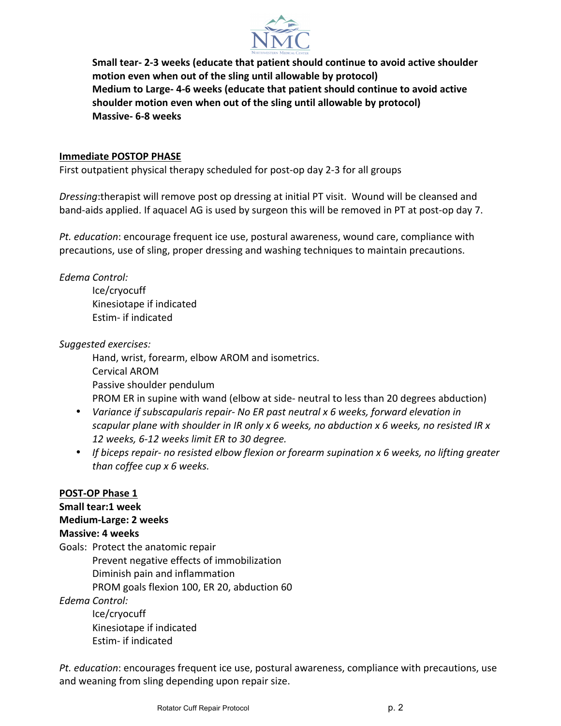

**Small tear-2-3 weeks (educate that patient should continue to avoid active shoulder** motion even when out of the sling until allowable by protocol) **Medium to Large-4-6 weeks (educate that patient should continue to avoid active shoulder motion even when out of the sling until allowable by protocol) Massive- 6-8 weeks**

#### **Immediate POSTOP PHASE**

First outpatient physical therapy scheduled for post-op day 2-3 for all groups

Dressing:therapist will remove post op dressing at initial PT visit. Wound will be cleansed and band-aids applied. If aquacel AG is used by surgeon this will be removed in PT at post-op day 7.

*Pt. education*: encourage frequent ice use, postural awareness, wound care, compliance with precautions, use of sling, proper dressing and washing techniques to maintain precautions.

*Edema Control:*

Ice/cryocuff Kinesiotape if indicated Estim- if indicated

*Suggested exercises:*

Hand, wrist, forearm, elbow AROM and isometrics. Cervical AROM Passive shoulder pendulum PROM ER in supine with wand (elbow at side- neutral to less than 20 degrees abduction)

- Variance if subscapularis repair- No ER past neutral x 6 weeks, forward elevation in *scapular plane with shoulder in IR only x 6 weeks, no abduction x 6 weeks, no resisted IR x* 12 weeks, 6-12 weeks limit ER to 30 degree.
- If biceps repair- no resisted elbow flexion or forearm supination x 6 weeks, no lifting greater *than coffee cup*  $x$  *6* weeks.

#### **POST-OP Phase 1**

Small **tear:1** week

#### **Medium-Large: 2 weeks**

**Massive: 4 weeks**

Goals: Protect the anatomic repair Prevent negative effects of immobilization Diminish pain and inflammation PROM goals flexion 100, ER 20, abduction 60

*Edema Control:*

Ice/cryocuff Kinesiotape if indicated Estim- if indicated

*Pt. education*: encourages frequent ice use, postural awareness, compliance with precautions, use and weaning from sling depending upon repair size.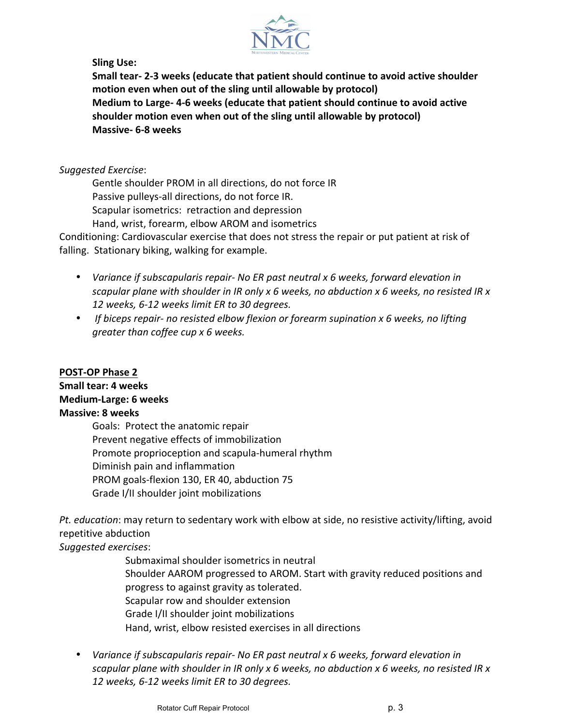

#### **Sling Use:**

**Small tear-** 2-3 weeks (educate that patient should continue to avoid active shoulder motion even when out of the sling until allowable by protocol) **Medium to Large-4-6 weeks (educate that patient should continue to avoid active** shoulder motion even when out of the sling until allowable by protocol) **Massive- 6-8 weeks**

### *Suggested Exercise*:

Gentle shoulder PROM in all directions, do not force IR Passive pulleys-all directions, do not force IR. Scapular isometrics: retraction and depression Hand, wrist, forearm, elbow AROM and isometrics

Conditioning: Cardiovascular exercise that does not stress the repair or put patient at risk of falling. Stationary biking, walking for example.

- Variance if subscapularis repair- No ER past neutral x 6 weeks, forward elevation in *scapular plane with shoulder in IR only x 6 weeks, no abduction x 6 weeks, no resisted IR x* 12 weeks, 6-12 weeks limit ER to 30 degrees.
- If biceps repair- no resisted elbow flexion or forearm supination x 6 weeks, no lifting *greater than coffee cup x 6 weeks.*

# **POST-OP Phase 2**

# **Small tear: 4 weeks**

# **Medium-Large: 6 weeks**

#### **Massive: 8 weeks**

Goals: Protect the anatomic repair Prevent negative effects of immobilization Promote proprioception and scapula-humeral rhythm Diminish pain and inflammation PROM goals-flexion 130, ER 40, abduction 75 Grade I/II shoulder joint mobilizations

*Pt. education*: may return to sedentary work with elbow at side, no resistive activity/lifting, avoid repetitive abduction

*Suggested exercises*:

Submaximal shoulder isometrics in neutral Shoulder AAROM progressed to AROM. Start with gravity reduced positions and progress to against gravity as tolerated. Scapular row and shoulder extension Grade I/II shoulder joint mobilizations Hand, wrist, elbow resisted exercises in all directions

• Variance if subscapularis repair- No ER past neutral x 6 weeks, forward elevation in *scapular plane with shoulder in IR only x 6 weeks, no abduction x 6 weeks, no resisted IR x* 12 weeks, 6-12 weeks limit ER to 30 degrees.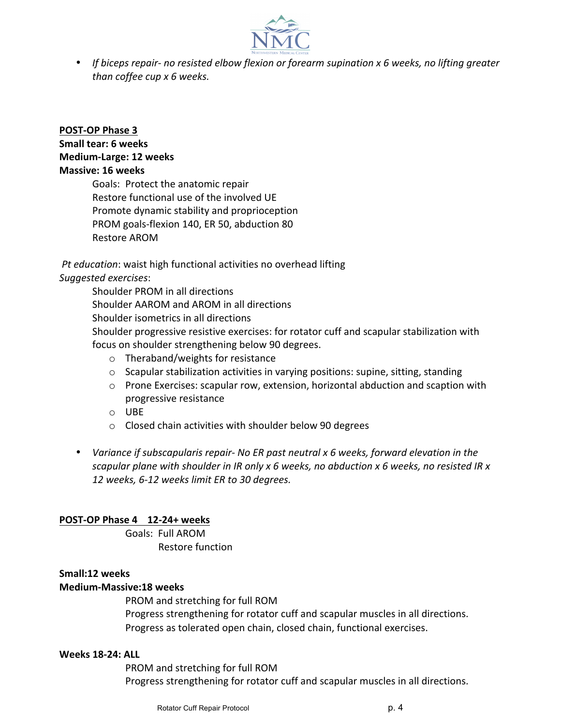

• If biceps repair- no resisted elbow flexion or forearm supination x 6 weeks, no lifting greater *than coffee cup*  $x$  *6* weeks.

#### **POST-OP Phase 3 Small tear: 6 weeks Medium-Large: 12 weeks**

#### **Massive: 16 weeks**

Goals: Protect the anatomic repair Restore functional use of the involved UE Promote dynamic stability and proprioception PROM goals-flexion 140, ER 50, abduction 80 **Restore AROM** 

Pt education: waist high functional activities no overhead lifting *Suggested exercises*:

> Shoulder PROM in all directions Shoulder AAROM and AROM in all directions Shoulder isometrics in all directions Shoulder progressive resistive exercises: for rotator cuff and scapular stabilization with focus on shoulder strengthening below 90 degrees.

- $\circ$  Theraband/weights for resistance
- $\circ$  Scapular stabilization activities in varying positions: supine, sitting, standing
- $\circ$  Prone Exercises: scapular row, extension, horizontal abduction and scaption with progressive resistance
- o UBE
- $\circ$  Closed chain activities with shoulder below 90 degrees
- Variance if subscapularis repair- No ER past neutral x 6 weeks, forward elevation in the *scapular plane with shoulder in IR only x 6 weeks, no abduction x 6 weeks, no resisted IR x* 12 weeks, 6-12 weeks limit ER to 30 degrees.

# **POST-OP Phase 4 12-24+ weeks**

Goals: Full AROM Restore function 

# **Small:12 weeks**

#### **Medium-Massive:18 weeks**

PROM and stretching for full ROM Progress strengthening for rotator cuff and scapular muscles in all directions. Progress as tolerated open chain, closed chain, functional exercises.

#### **Weeks 18-24: ALL**

PROM and stretching for full ROM Progress strengthening for rotator cuff and scapular muscles in all directions.